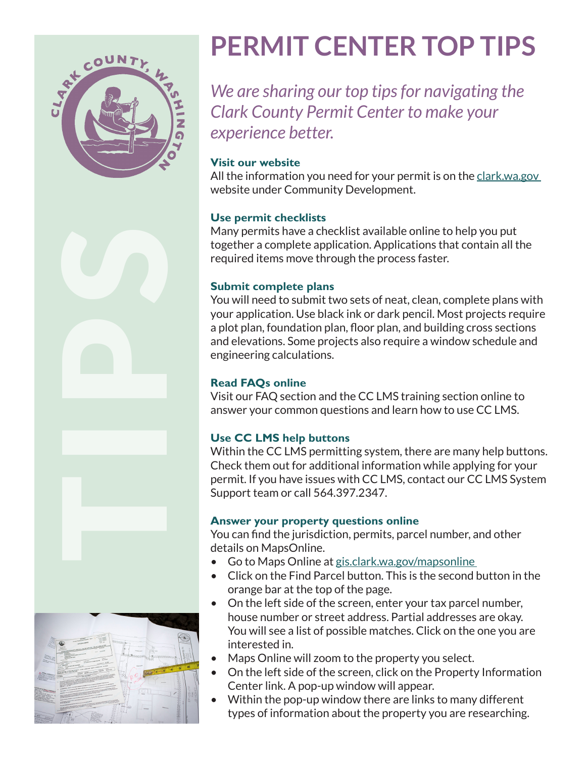

# **PERMIT CENTER TOP TIPS**

*We are sharing our top tips for navigating the Clark County Permit Center to make your experience better.*

### **Visit our website**

All the information you need for your permit is on the clark.wa.gov website under Community Development.

#### **Use permit checklists**

Many permits have a checklist available online to help you put together a complete application. Applications that contain all the required items move through the process faster.

### **Submit complete plans**

You will need to submit two sets of neat, clean, complete plans with your application. Use black ink or dark pencil. Most projects require a plot plan, foundation plan, floor plan, and building cross sections and elevations. Some projects also require a window schedule and engineering calculations.

## **Read FAQs online**

Visit our FAQ section and the CC LMS training section online to answer your common questions and learn how to use CC LMS.

## **Use CC LMS help buttons**

Within the CC LMS permitting system, there are many help buttons. Check them out for additional information while applying for your permit. If you have issues with CC LMS, contact our CC LMS System Support team or call 564.397.2347.

## **Answer your property questions online**

You can find the jurisdiction, permits, parcel number, and other etails on MapsOnline.<br>• Go to Maps Online at <u>gis.clark.wa.gov/mapsonline</u><br>• Click on the Find Parcel button. This is the second button in the

- 
- orange bar at the top of the page.
- On the left side of the screen, enter your tax parcel number, house number or street address. Partial addresses are okay. You will see a list of possible matches. Click on the one you are interested in.
- Maps Online will zoom to the property you select.
- On the left side of the screen, click on the Property Information Center link. A pop-up window will appear.
- Within the pop-up window there are links to many different types of information about the property you are researching.